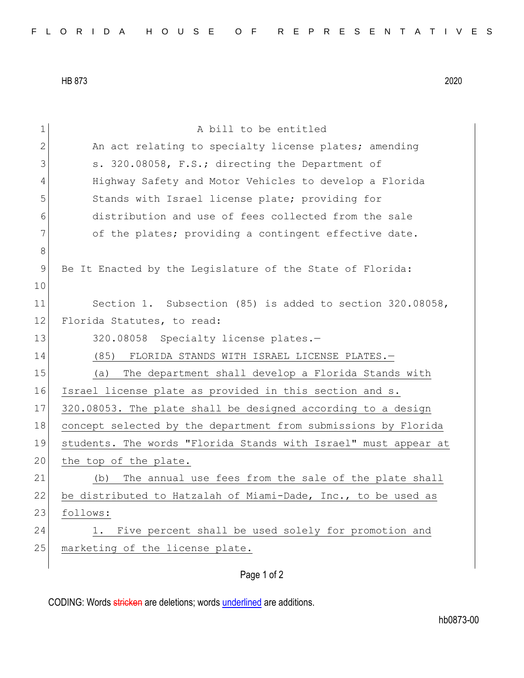HB 873 2020

| 1             | A bill to be entitled                                           |
|---------------|-----------------------------------------------------------------|
| $\mathbf{2}$  | An act relating to specialty license plates; amending           |
| 3             | s. 320.08058, F.S.; directing the Department of                 |
| 4             | Highway Safety and Motor Vehicles to develop a Florida          |
| 5             | Stands with Israel license plate; providing for                 |
| 6             | distribution and use of fees collected from the sale            |
| 7             | of the plates; providing a contingent effective date.           |
| $8\,$         |                                                                 |
| $\mathcal{G}$ | Be It Enacted by the Legislature of the State of Florida:       |
| 10            |                                                                 |
| 11            | Section 1. Subsection (85) is added to section 320.08058,       |
| 12            | Florida Statutes, to read:                                      |
| 13            | 320.08058 Specialty license plates.-                            |
| 14            | (85)<br>FLORIDA STANDS WITH ISRAEL LICENSE PLATES.-             |
| 15            | The department shall develop a Florida Stands with<br>(a)       |
| 16            | Israel license plate as provided in this section and s.         |
| 17            | 320.08053. The plate shall be designed according to a design    |
| 18            | concept selected by the department from submissions by Florida  |
| 19            | students. The words "Florida Stands with Israel" must appear at |
| 20            | the top of the plate.                                           |
| 21            | The annual use fees from the sale of the plate shall<br>(b)     |
| 22            | be distributed to Hatzalah of Miami-Dade, Inc., to be used as   |
| 23            | follows:                                                        |
| 24            | Five percent shall be used solely for promotion and<br>1.       |
| 25            | marketing of the license plate.                                 |
|               |                                                                 |

Page 1 of 2

CODING: Words stricken are deletions; words underlined are additions.